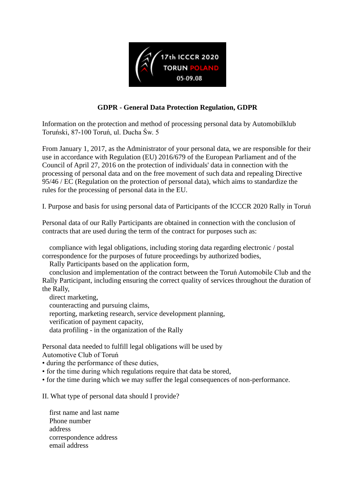

## **GDPR - General Data Protection Regulation, GDPR**

Information on the protection and method of processing personal data by Automobilklub Toruński, 87-100 Toruń, ul. Ducha Św. 5

From January 1, 2017, as the Administrator of your personal data, we are responsible for their use in accordance with Regulation (EU) 2016/679 of the European Parliament and of the Council of April 27, 2016 on the protection of individuals' data in connection with the processing of personal data and on the free movement of such data and repealing Directive 95/46 / EC (Regulation on the protection of personal data), which aims to standardize the rules for the processing of personal data in the EU.

I. Purpose and basis for using personal data of Participants of the ICCCR 2020 Rally in Toruń

Personal data of our Rally Participants are obtained in connection with the conclusion of contracts that are used during the term of the contract for purposes such as:

 compliance with legal obligations, including storing data regarding electronic / postal correspondence for the purposes of future proceedings by authorized bodies,

Rally Participants based on the application form,

 conclusion and implementation of the contract between the Toruń Automobile Club and the Rally Participant, including ensuring the correct quality of services throughout the duration of the Rally,

 direct marketing, counteracting and pursuing claims, reporting, marketing research, service development planning, verification of payment capacity, data profiling - in the organization of the Rally

Personal data needed to fulfill legal obligations will be used by Automotive Club of Toruń

• during the performance of these duties,

• for the time during which regulations require that data be stored,

• for the time during which we may suffer the legal consequences of non-performance.

II. What type of personal data should I provide?

 first name and last name Phone number address correspondence address email address